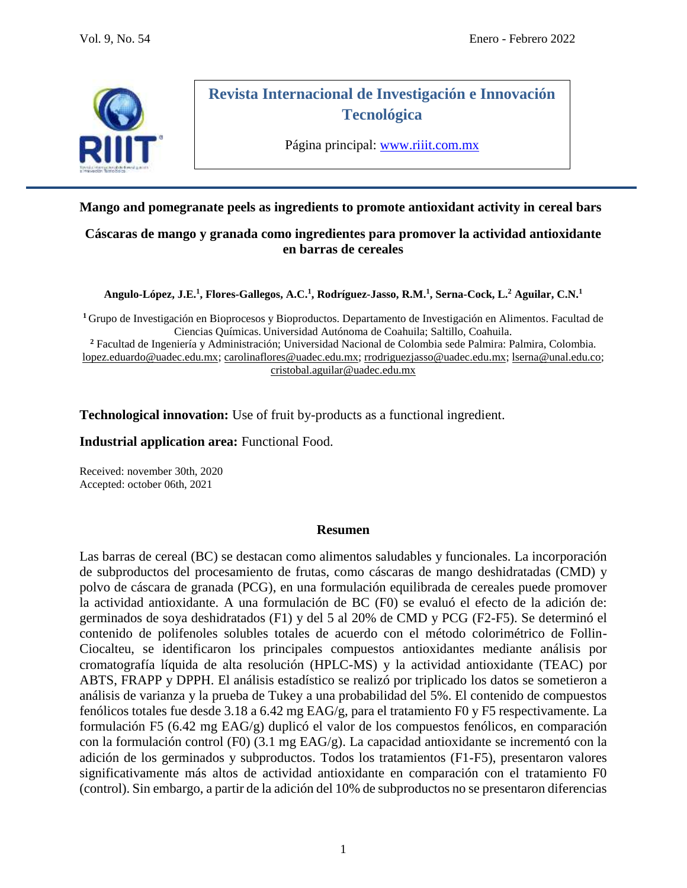

# **Revista Internacional de Investigación e Innovación Tecnológica**

Página principal: [www.riiit.com.mx](http://www.riiit.com.mx/)

#### **Mango and pomegranate peels as ingredients to promote antioxidant activity in cereal bars**

### **Cáscaras de mango y granada como ingredientes para promover la actividad antioxidante en barras de cereales**

**Angulo-López, J.E. 1 , Flores-Gallegos, A.C.<sup>1</sup> , Rodríguez-Jasso, R.M. 1 , Serna-Cock, L.<sup>2</sup> Aguilar, C.N.<sup>1</sup>**

**<sup>1</sup>** Grupo de Investigación en Bioprocesos y Bioproductos. Departamento de Investigación en Alimentos. Facultad de Ciencias Químicas. Universidad Autónoma de Coahuila; Saltillo, Coahuila.

**<sup>2</sup>** Facultad de Ingeniería y Administración; Universidad Nacional de Colombia sede Palmira: Palmira, Colombia. [lopez.eduardo@uadec.edu.mx;](mailto:lopez.eduardo@uadec.edu.mx) [carolinaflores@uadec.edu.mx;](mailto:carolinaflores@uadec.edu.mx) [rrodriguezjasso@uadec.edu.mx;](mailto:rrodriguezjasso@uadec.edu.mx) [lserna@unal.edu.co;](mailto:lserna@unal.edu.co) [cristobal.aguilar@uadec.edu.mx](mailto:cristobal.aguilar@uadec.edu.mx)

**Technological innovation:** Use of fruit by-products as a functional ingredient.

**Industrial application area:** Functional Food.

Received: november 30th, 2020 Accepted: october 06th, 2021

#### **Resumen**

Las barras de cereal (BC) se destacan como alimentos saludables y funcionales. La incorporación de subproductos del procesamiento de frutas, como cáscaras de mango deshidratadas (CMD) y polvo de cáscara de granada (PCG), en una formulación equilibrada de cereales puede promover la actividad antioxidante. A una formulación de BC (F0) se evaluó el efecto de la adición de: germinados de soya deshidratados (F1) y del 5 al 20% de CMD y PCG (F2-F5). Se determinó el contenido de polifenoles solubles totales de acuerdo con el método colorimétrico de Follin-Ciocalteu, se identificaron los principales compuestos antioxidantes mediante análisis por cromatografía líquida de alta resolución (HPLC-MS) y la actividad antioxidante (TEAC) por ABTS, FRAPP y DPPH. El análisis estadístico se realizó por triplicado los datos se sometieron a análisis de varianza y la prueba de Tukey a una probabilidad del 5%. El contenido de compuestos fenólicos totales fue desde 3.18 a 6.42 mg EAG/g, para el tratamiento F0 y F5 respectivamente. La formulación F5 (6.42 mg EAG/g) duplicó el valor de los compuestos fenólicos, en comparación con la formulación control (F0) (3.1 mg EAG/g). La capacidad antioxidante se incrementó con la adición de los germinados y subproductos. Todos los tratamientos (F1-F5), presentaron valores significativamente más altos de actividad antioxidante en comparación con el tratamiento F0 (control). Sin embargo, a partir de la adición del 10% de subproductos no se presentaron diferencias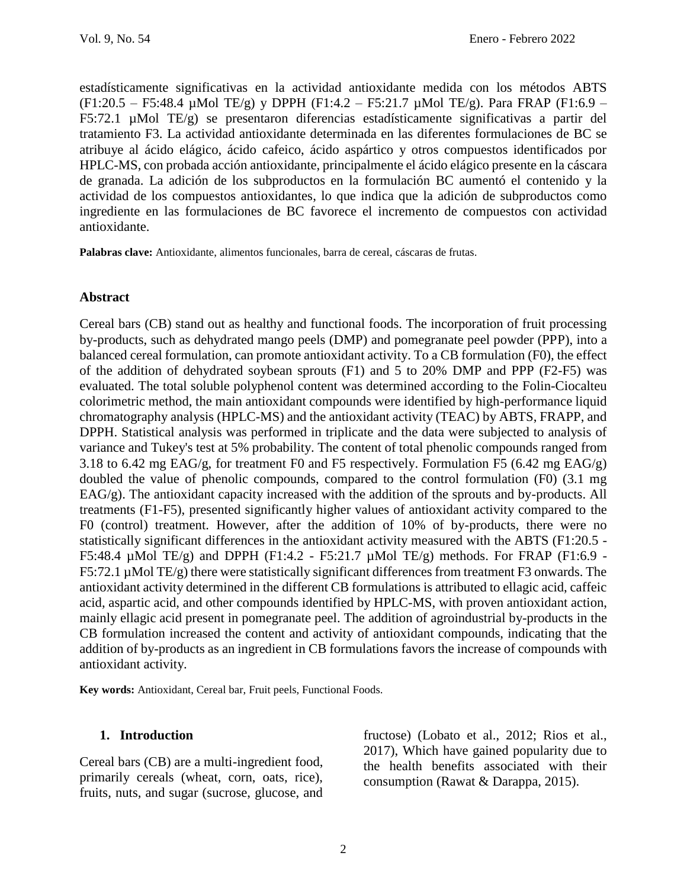estadísticamente significativas en la actividad antioxidante medida con los métodos ABTS  $(F1:20.5 - F5:48.4 \mu Mol TE/g)$  y DPPH  $(F1:4.2 - F5:21.7 \mu Mol TE/g)$ . Para FRAP  $(F1:6.9 - F5:21.7 \mu Mol TE/g)$ F5:72.1 µMol TE/g) se presentaron diferencias estadísticamente significativas a partir del tratamiento F3. La actividad antioxidante determinada en las diferentes formulaciones de BC se atribuye al ácido elágico, ácido cafeico, ácido aspártico y otros compuestos identificados por HPLC-MS, con probada acción antioxidante, principalmente el ácido elágico presente en la cáscara de granada. La adición de los subproductos en la formulación BC aumentó el contenido y la actividad de los compuestos antioxidantes, lo que indica que la adición de subproductos como ingrediente en las formulaciones de BC favorece el incremento de compuestos con actividad antioxidante.

**Palabras clave:** Antioxidante, alimentos funcionales, barra de cereal, cáscaras de frutas.

### **Abstract**

Cereal bars (CB) stand out as healthy and functional foods. The incorporation of fruit processing by-products, such as dehydrated mango peels (DMP) and pomegranate peel powder (PPP), into a balanced cereal formulation, can promote antioxidant activity. To a CB formulation (F0), the effect of the addition of dehydrated soybean sprouts (F1) and 5 to 20% DMP and PPP (F2-F5) was evaluated. The total soluble polyphenol content was determined according to the Folin-Ciocalteu colorimetric method, the main antioxidant compounds were identified by high-performance liquid chromatography analysis (HPLC-MS) and the antioxidant activity (TEAC) by ABTS, FRAPP, and DPPH. Statistical analysis was performed in triplicate and the data were subjected to analysis of variance and Tukey's test at 5% probability. The content of total phenolic compounds ranged from 3.18 to 6.42 mg EAG/g, for treatment F0 and F5 respectively. Formulation F5 (6.42 mg EAG/g) doubled the value of phenolic compounds, compared to the control formulation (F0) (3.1 mg EAG/g). The antioxidant capacity increased with the addition of the sprouts and by-products. All treatments (F1-F5), presented significantly higher values of antioxidant activity compared to the F0 (control) treatment. However, after the addition of 10% of by-products, there were no statistically significant differences in the antioxidant activity measured with the ABTS (F1:20.5 - F5:48.4 µMol TE/g) and DPPH (F1:4.2 - F5:21.7 µMol TE/g) methods. For FRAP (F1:6.9 -F5:72.1  $\mu$ Mol TE/g) there were statistically significant differences from treatment F3 onwards. The antioxidant activity determined in the different CB formulations is attributed to ellagic acid, caffeic acid, aspartic acid, and other compounds identified by HPLC-MS, with proven antioxidant action, mainly ellagic acid present in pomegranate peel. The addition of agroindustrial by-products in the CB formulation increased the content and activity of antioxidant compounds, indicating that the addition of by-products as an ingredient in CB formulations favors the increase of compounds with antioxidant activity.

**Key words:** Antioxidant, Cereal bar, Fruit peels, Functional Foods.

#### **1. Introduction**

Cereal bars (CB) are a multi-ingredient food, primarily cereals (wheat, corn, oats, rice), fruits, nuts, and sugar (sucrose, glucose, and fructose) (Lobato et al., 2012; Rios et al., 2017), Which have gained popularity due to the health benefits associated with their consumption (Rawat & Darappa, 2015).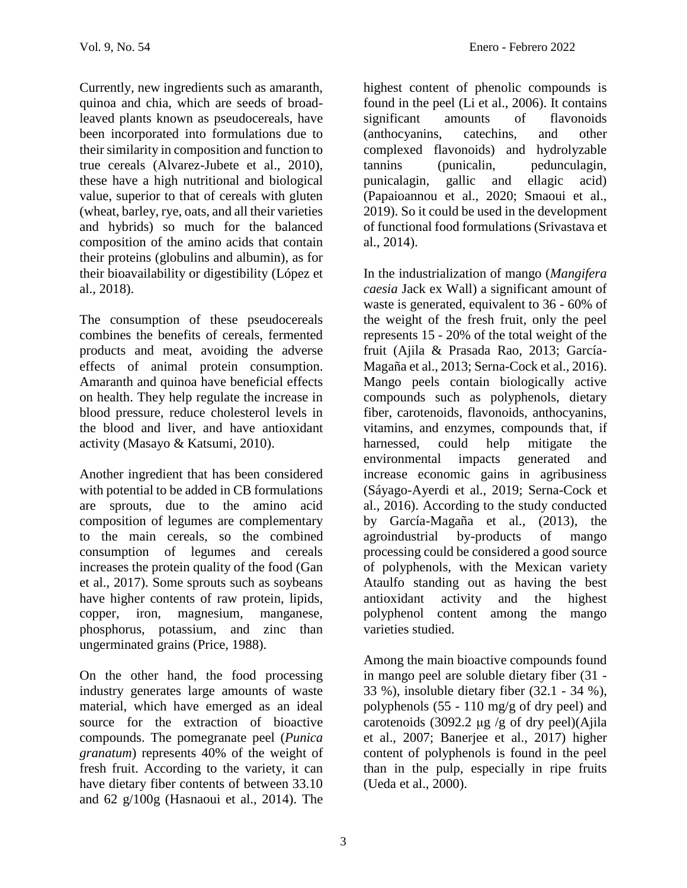Currently, new ingredients such as amaranth, quinoa and chia, which are seeds of broadleaved plants known as pseudocereals, have been incorporated into formulations due to their similarity in composition and function to true cereals (Alvarez-Jubete et al., 2010), these have a high nutritional and biological value, superior to that of cereals with gluten (wheat, barley, rye, oats, and all their varieties and hybrids) so much for the balanced composition of the amino acids that contain their proteins (globulins and albumin), as for their bioavailability or digestibility (López et al., 2018).

The consumption of these pseudocereals combines the benefits of cereals, fermented products and meat, avoiding the adverse effects of animal protein consumption. Amaranth and quinoa have beneficial effects on health. They help regulate the increase in blood pressure, reduce cholesterol levels in the blood and liver, and have antioxidant activity (Masayo & Katsumi, 2010).

Another ingredient that has been considered with potential to be added in CB formulations are sprouts, due to the amino acid composition of legumes are complementary to the main cereals, so the combined consumption of legumes and cereals increases the protein quality of the food (Gan et al., 2017). Some sprouts such as soybeans have higher contents of raw protein, lipids, copper, iron, magnesium, manganese, phosphorus, potassium, and zinc than ungerminated grains (Price, 1988).

On the other hand, the food processing industry generates large amounts of waste material, which have emerged as an ideal source for the extraction of bioactive compounds. The pomegranate peel (*Punica granatum*) represents 40% of the weight of fresh fruit. According to the variety, it can have dietary fiber contents of between 33.10 and 62 g/100g (Hasnaoui et al., 2014). The

highest content of phenolic compounds is found in the peel (Li et al., 2006). It contains significant amounts of flavonoids (anthocyanins, catechins, and other complexed flavonoids) and hydrolyzable tannins (punicalin, pedunculagin, punicalagin, gallic and ellagic acid) (Papaioannou et al., 2020; Smaoui et al., 2019). So it could be used in the development of functional food formulations (Srivastava et al., 2014).

In the industrialization of mango (*Mangifera caesia* Jack ex Wall) a significant amount of waste is generated, equivalent to 36 - 60% of the weight of the fresh fruit, only the peel represents 15 - 20% of the total weight of the fruit (Ajila & Prasada Rao, 2013; García-Magaña et al., 2013; Serna-Cock et al., 2016). Mango peels contain biologically active compounds such as polyphenols, dietary fiber, carotenoids, flavonoids, anthocyanins, vitamins, and enzymes, compounds that, if harnessed, could help mitigate the environmental impacts generated and increase economic gains in agribusiness (Sáyago-Ayerdi et al., 2019; Serna-Cock et al., 2016). According to the study conducted by García-Magaña et al., (2013), the agroindustrial by-products of mango processing could be considered a good source of polyphenols, with the Mexican variety Ataulfo standing out as having the best antioxidant activity and the highest polyphenol content among the mango varieties studied.

Among the main bioactive compounds found in mango peel are soluble dietary fiber (31 - 33 %), insoluble dietary fiber (32.1 - 34 %), polyphenols (55 - 110 mg/g of dry peel) and carotenoids (3092.2  $\mu$ g /g of dry peel)(Ajila et al., 2007; Banerjee et al., 2017) higher content of polyphenols is found in the peel than in the pulp, especially in ripe fruits (Ueda et al., 2000).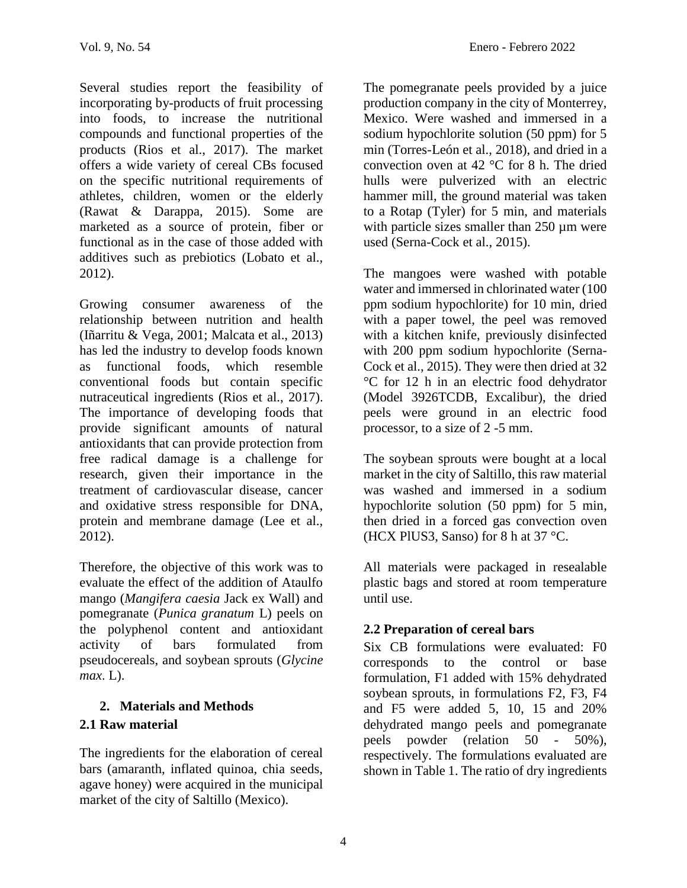Several studies report the feasibility of incorporating by-products of fruit processing into foods, to increase the nutritional compounds and functional properties of the products (Rios et al., 2017). The market offers a wide variety of cereal CBs focused on the specific nutritional requirements of athletes, children, women or the elderly (Rawat & Darappa, 2015). Some are marketed as a source of protein, fiber or functional as in the case of those added with additives such as prebiotics (Lobato et al., 2012).

Growing consumer awareness of the relationship between nutrition and health (Iñarritu & Vega, 2001; Malcata et al., 2013) has led the industry to develop foods known as functional foods, which resemble conventional foods but contain specific nutraceutical ingredients (Rios et al., 2017). The importance of developing foods that provide significant amounts of natural antioxidants that can provide protection from free radical damage is a challenge for research, given their importance in the treatment of cardiovascular disease, cancer and oxidative stress responsible for DNA, protein and membrane damage (Lee et al., 2012).

Therefore, the objective of this work was to evaluate the effect of the addition of Ataulfo mango (*Mangifera caesia* Jack ex Wall) and pomegranate (*Punica granatum* L) peels on the polyphenol content and antioxidant activity of bars formulated from pseudocereals, and soybean sprouts (*Glycine max*. L).

## **2. Materials and Methods 2.1 Raw material**

The ingredients for the elaboration of cereal bars (amaranth, inflated quinoa, chia seeds, agave honey) were acquired in the municipal market of the city of Saltillo (Mexico).

The pomegranate peels provided by a juice production company in the city of Monterrey, Mexico. Were washed and immersed in a sodium hypochlorite solution (50 ppm) for 5 min (Torres-León et al., 2018), and dried in a convection oven at 42 °C for 8 h. The dried hulls were pulverized with an electric hammer mill, the ground material was taken to a Rotap (Tyler) for 5 min, and materials with particle sizes smaller than 250  $\mu$ m were used (Serna-Cock et al., 2015).

The mangoes were washed with potable water and immersed in chlorinated water (100 ppm sodium hypochlorite) for 10 min, dried with a paper towel, the peel was removed with a kitchen knife, previously disinfected with 200 ppm sodium hypochlorite (Serna-Cock et al., 2015). They were then dried at 32 °C for 12 h in an electric food dehydrator (Model 3926TCDB, Excalibur), the dried peels were ground in an electric food processor, to a size of 2 -5 mm.

The soybean sprouts were bought at a local market in the city of Saltillo, this raw material was washed and immersed in a sodium hypochlorite solution (50 ppm) for 5 min, then dried in a forced gas convection oven (HCX PlUS3, Sanso) for 8 h at  $37^{\circ}$ C.

All materials were packaged in resealable plastic bags and stored at room temperature until use.

## **2.2 Preparation of cereal bars**

Six CB formulations were evaluated: F0 corresponds to the control or base formulation, F1 added with 15% dehydrated soybean sprouts, in formulations F2, F3, F4 and F5 were added 5, 10, 15 and 20% dehydrated mango peels and pomegranate peels powder (relation 50 - 50%), respectively. The formulations evaluated are shown in Table 1. The ratio of dry ingredients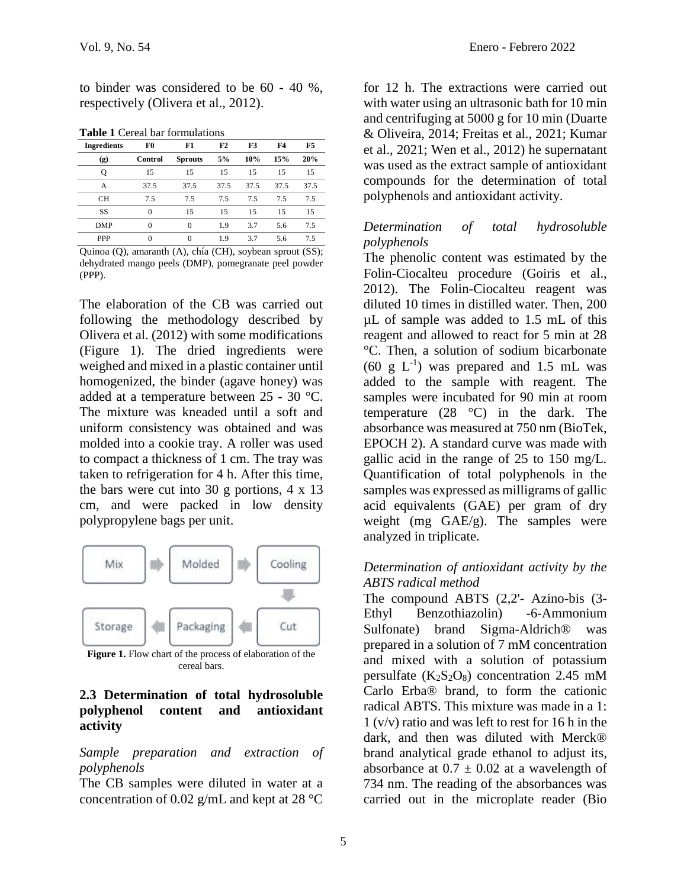to binder was considered to be 60 - 40 %, respectively (Olivera et al., 2012).

| <b>Ingredients</b> | F0       | F1             | F2   | F3   | F4   | F5   |
|--------------------|----------|----------------|------|------|------|------|
| (g)                | Control  | <b>Sprouts</b> | 5%   | 10%  | 15%  | 20%  |
| Q                  | 15       | 15             | 15   | 15   | 15   | 15   |
| А                  | 37.5     | 37.5           | 37.5 | 37.5 | 37.5 | 37.5 |
| <b>CH</b>          | 7.5      | 7.5            | 7.5  | 7.5  | 7.5  | 7.5  |
| SS                 | $\theta$ | 15             | 15   | 15   | 15   | 15   |
| DMP                | 0        | $\Omega$       | 1.9  | 3.7  | 5.6  | 7.5  |
| <b>PPP</b>         | 0        | 0              | 1.9  | 3.7  | 5.6  | 7.5  |

**Table 1** Cereal bar formulations

Quinoa (Q), amaranth (A), chía (CH), soybean sprout (SS); dehydrated mango peels (DMP), pomegranate peel powder (PPP).

The elaboration of the CB was carried out following the methodology described by Olivera et al. (2012) with some modifications (Figure 1). The dried ingredients were weighed and mixed in a plastic container until homogenized, the binder (agave honey) was added at a temperature between 25 - 30 °C. The mixture was kneaded until a soft and uniform consistency was obtained and was molded into a cookie tray. A roller was used to compact a thickness of 1 cm. The tray was taken to refrigeration for 4 h. After this time, the bars were cut into 30 g portions, 4 x 13 cm, and were packed in low density polypropylene bags per unit.



Figure 1. Flow chart of the process of elaboration of the cereal bars.

### **2.3 Determination of total hydrosoluble polyphenol content and antioxidant activity**

#### *Sample preparation and extraction of polyphenols*

The CB samples were diluted in water at a concentration of 0.02 g/mL and kept at 28 °C

for 12 h. The extractions were carried out with water using an ultrasonic bath for 10 min and centrifuging at 5000 g for 10 min (Duarte & Oliveira, 2014; Freitas et al., 2021; Kumar et al., 2021; Wen et al., 2012) he supernatant was used as the extract sample of antioxidant compounds for the determination of total polyphenols and antioxidant activity.

### *Determination of total hydrosoluble polyphenols*

The phenolic content was estimated by the Folin-Ciocalteu procedure (Goiris et al., 2012). The Folin-Ciocalteu reagent was diluted 10 times in distilled water. Then, 200 µL of sample was added to 1.5 mL of this reagent and allowed to react for 5 min at 28 °C. Then, a solution of sodium bicarbonate  $(60 \text{ g } L^{-1})$  was prepared and 1.5 mL was added to the sample with reagent. The samples were incubated for 90 min at room temperature  $(28 \text{ °C})$  in the dark. The absorbance was measured at 750 nm (BioTek, EPOCH 2). A standard curve was made with gallic acid in the range of 25 to 150 mg/L. Quantification of total polyphenols in the samples was expressed as milligrams of gallic acid equivalents (GAE) per gram of dry weight (mg GAE/g). The samples were analyzed in triplicate.

#### *Determination of antioxidant activity by the ABTS radical method*

The compound ABTS (2,2'- Azino-bis (3- Ethyl Benzothiazolin) -6-Ammonium Sulfonate) brand Sigma-Aldrich® was prepared in a solution of 7 mM concentration and mixed with a solution of potassium persulfate  $(K_2S_2O_8)$  concentration 2.45 mM Carlo Erba® brand, to form the cationic radical ABTS. This mixture was made in a 1: 1 (v/v) ratio and was left to rest for 16 h in the dark, and then was diluted with Merck® brand analytical grade ethanol to adjust its, absorbance at  $0.7 \pm 0.02$  at a wavelength of 734 nm. The reading of the absorbances was carried out in the microplate reader (Bio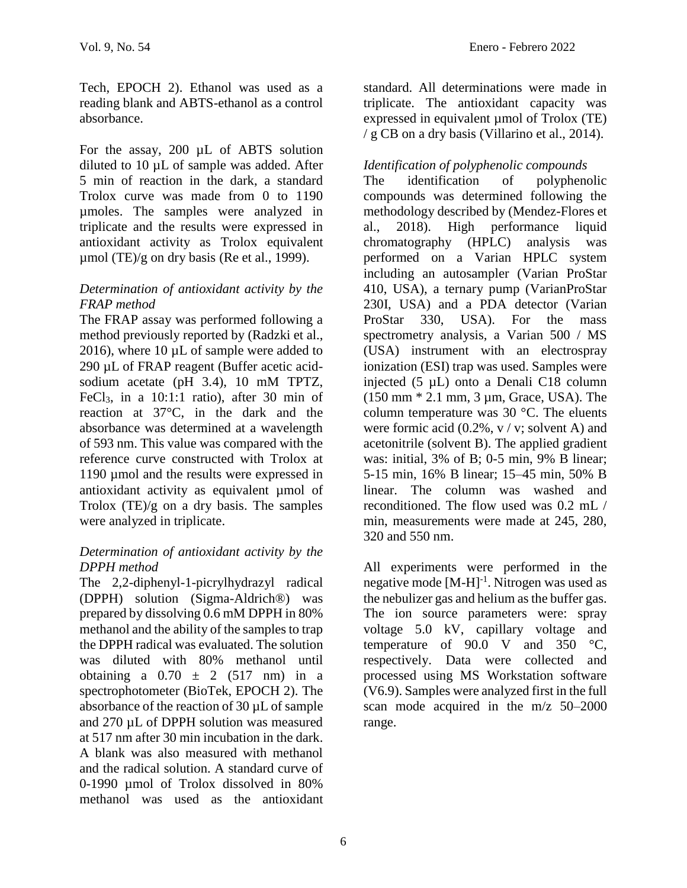Tech, EPOCH 2). Ethanol was used as a reading blank and ABTS-ethanol as a control absorbance.

For the assay, 200 µL of ABTS solution diluted to 10 µL of sample was added. After 5 min of reaction in the dark, a standard Trolox curve was made from 0 to 1190 µmoles. The samples were analyzed in triplicate and the results were expressed in antioxidant activity as Trolox equivalent µmol (TE)/g on dry basis (Re et al., 1999).

### *Determination of antioxidant activity by the FRAP method*

The FRAP assay was performed following a method previously reported by (Radzki et al., 2016), where 10  $\mu$ L of sample were added to 290 µL of FRAP reagent (Buffer acetic acidsodium acetate (pH 3.4), 10 mM TPTZ, FeCl3, in a 10:1:1 ratio), after 30 min of reaction at 37°C, in the dark and the absorbance was determined at a wavelength of 593 nm. This value was compared with the reference curve constructed with Trolox at 1190 µmol and the results were expressed in antioxidant activity as equivalent µmol of Trolox  $(TE)/g$  on a dry basis. The samples were analyzed in triplicate.

## *Determination of antioxidant activity by the DPPH method*

The 2,2-diphenyl-1-picrylhydrazyl radical (DPPH) solution (Sigma-Aldrich®) was prepared by dissolving 0.6 mM DPPH in 80% methanol and the ability of the samples to trap the DPPH radical was evaluated. The solution was diluted with 80% methanol until obtaining a  $0.70 \pm 2$  (517 nm) in a spectrophotometer (BioTek, EPOCH 2). The absorbance of the reaction of 30 µL of sample and 270 µL of DPPH solution was measured at 517 nm after 30 min incubation in the dark. A blank was also measured with methanol and the radical solution. A standard curve of 0-1990 µmol of Trolox dissolved in 80% methanol was used as the antioxidant

standard. All determinations were made in triplicate. The antioxidant capacity was expressed in equivalent umol of Trolox (TE) / g CB on a dry basis (Villarino et al., 2014).

## *Identification of polyphenolic compounds*

The identification of polyphenolic compounds was determined following the methodology described by (Mendez-Flores et al., 2018). High performance liquid chromatography (HPLC) analysis was performed on a Varian HPLC system including an autosampler (Varian ProStar 410, USA), a ternary pump (VarianProStar 230I, USA) and a PDA detector (Varian ProStar 330, USA). For the mass spectrometry analysis, a Varian 500 / MS (USA) instrument with an electrospray ionization (ESI) trap was used. Samples were injected (5 µL) onto a Denali C18 column (150 mm \* 2.1 mm, 3 µm, Grace, USA). The column temperature was 30 °C. The eluents were formic acid  $(0.2\%$ , v / v; solvent A) and acetonitrile (solvent B). The applied gradient was: initial, 3% of B; 0-5 min, 9% B linear; 5-15 min, 16% B linear; 15–45 min, 50% B linear. The column was washed and reconditioned. The flow used was 0.2 mL / min, measurements were made at 245, 280, 320 and 550 nm.

All experiments were performed in the negative mode  $[M-H]$ <sup>-1</sup>. Nitrogen was used as the nebulizer gas and helium as the buffer gas. The ion source parameters were: spray voltage 5.0 kV, capillary voltage and temperature of  $90.0$  V and  $350$  °C, respectively. Data were collected and processed using MS Workstation software (V6.9). Samples were analyzed first in the full scan mode acquired in the m/z 50–2000 range.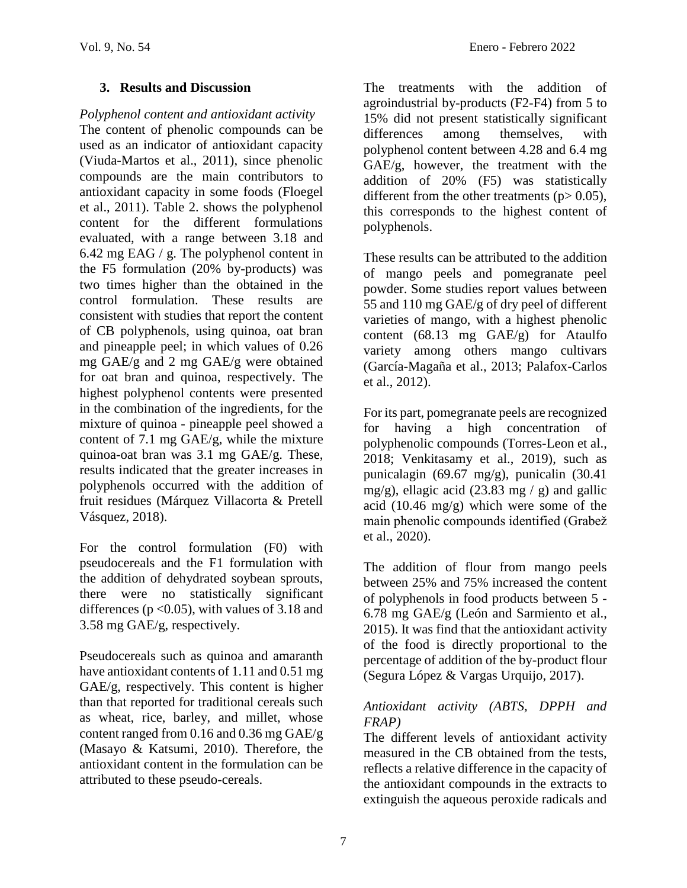## **3. Results and Discussion**

## *Polyphenol content and antioxidant activity*

The content of phenolic compounds can be used as an indicator of antioxidant capacity (Viuda-Martos et al., 2011), since phenolic compounds are the main contributors to antioxidant capacity in some foods (Floegel et al., 2011). Table 2. shows the polyphenol content for the different formulations evaluated, with a range between 3.18 and 6.42 mg EAG / g. The polyphenol content in the F5 formulation (20% by-products) was two times higher than the obtained in the control formulation. These results are consistent with studies that report the content of CB polyphenols, using quinoa, oat bran and pineapple peel; in which values of 0.26 mg GAE/g and 2 mg GAE/g were obtained for oat bran and quinoa, respectively. The highest polyphenol contents were presented in the combination of the ingredients, for the mixture of quinoa - pineapple peel showed a content of 7.1 mg GAE/g, while the mixture quinoa-oat bran was 3.1 mg GAE/g. These, results indicated that the greater increases in polyphenols occurred with the addition of fruit residues (Márquez Villacorta & Pretell Vásquez, 2018).

For the control formulation (F0) with pseudocereals and the F1 formulation with the addition of dehydrated soybean sprouts, there were no statistically significant differences ( $p < 0.05$ ), with values of 3.18 and 3.58 mg GAE/g, respectively.

Pseudocereals such as quinoa and amaranth have antioxidant contents of 1.11 and 0.51 mg GAE/g, respectively. This content is higher than that reported for traditional cereals such as wheat, rice, barley, and millet, whose content ranged from 0.16 and 0.36 mg GAE/g (Masayo & Katsumi, 2010). Therefore, the antioxidant content in the formulation can be attributed to these pseudo-cereals.

The treatments with the addition of agroindustrial by-products (F2-F4) from 5 to 15% did not present statistically significant differences among themselves, with polyphenol content between 4.28 and 6.4 mg GAE/g, however, the treatment with the addition of 20% (F5) was statistically different from the other treatments ( $p > 0.05$ ), this corresponds to the highest content of polyphenols.

These results can be attributed to the addition of mango peels and pomegranate peel powder. Some studies report values between 55 and 110 mg GAE/g of dry peel of different varieties of mango, with a highest phenolic content  $(68.13 \text{ mg } GAE/g)$  for Ataulfo variety among others mango cultivars (García-Magaña et al., 2013; Palafox-Carlos et al., 2012).

For its part, pomegranate peels are recognized for having a high concentration of polyphenolic compounds (Torres-Leon et al., 2018; Venkitasamy et al., 2019), such as punicalagin (69.67 mg/g), punicalin (30.41 mg/g), ellagic acid (23.83 mg / g) and gallic acid (10.46 mg/g) which were some of the main phenolic compounds identified (Grabež et al., 2020).

The addition of flour from mango peels between 25% and 75% increased the content of polyphenols in food products between 5 - 6.78 mg GAE/g (León and Sarmiento et al., 2015). It was find that the antioxidant activity of the food is directly proportional to the percentage of addition of the by-product flour (Segura López & Vargas Urquijo, 2017).

## *Antioxidant activity (ABTS, DPPH and FRAP)*

The different levels of antioxidant activity measured in the CB obtained from the tests, reflects a relative difference in the capacity of the antioxidant compounds in the extracts to extinguish the aqueous peroxide radicals and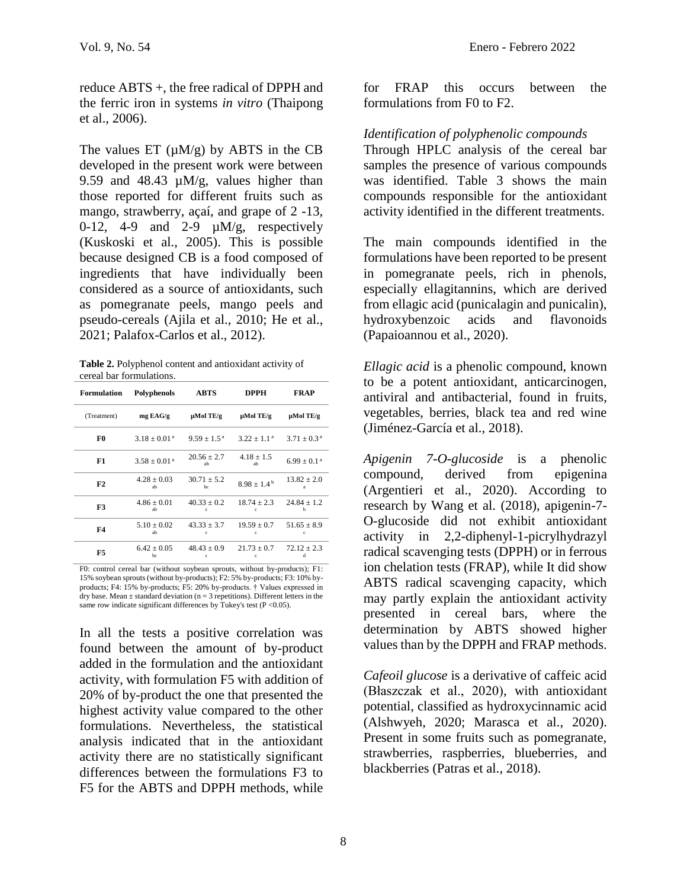reduce ABTS +, the free radical of DPPH and the ferric iron in systems *in vitro* (Thaipong et al., 2006).

The values ET  $(\mu M/g)$  by ABTS in the CB developed in the present work were between 9.59 and 48.43 µM/g, values higher than those reported for different fruits such as mango, strawberry, açaí, and grape of 2 -13, 0-12, 4-9 and 2-9  $\mu$ M/g, respectively (Kuskoski et al., 2005). This is possible because designed CB is a food composed of ingredients that have individually been considered as a source of antioxidants, such as pomegranate peels, mango peels and pseudo-cereals (Ajila et al., 2010; He et al., 2021; Palafox-Carlos et al., 2012).

**Table 2.** Polyphenol content and antioxidant activity of cereal bar formulations.

| <b>Formulation</b> | Polyphenols                  | <b>ABTS</b>                  | <b>DPPH</b>                    | <b>FRAP</b>                    |
|--------------------|------------------------------|------------------------------|--------------------------------|--------------------------------|
| (Treatment)        | mg EAG/g                     | µMol TE/g                    | $\mu$ Mol TE/g                 | $\mu$ Mol TE/g                 |
| F0                 | $3.18 + 0.01^a$              | $9.59 + 1.5^{\text{a}}$      | $3.22 + 1.1^a$                 | $3.71 + 0.3^{\text{a}}$        |
| F1                 | $3.58 \pm 0.01$ <sup>a</sup> | $20.56 + 2.7$<br>ah          | $4.18 + 1.5$<br>ah             | $6.99 \pm 0.1^{\text{a}}$      |
| F2                 | $4.28 + 0.03$<br>ah          | $30.71 + 5.2$<br>hc.         | $8.98 + 1.4b$                  | $13.82 + 2.0$<br>a             |
| F3                 | $4.86 \pm 0.01$<br>ah        | $40.33 + 0.2$<br>$\mathbf c$ | $18.74 \pm 2.3$<br>$\mathbf c$ | $24.84 + 1.2$<br>h             |
| F4                 | $5.10 + 0.02$<br>ah          | $43.33 + 3.7$<br>$\mathbf c$ | $19.59 + 0.7$<br>$\mathbf c$   | $51.65 \pm 8.9$<br>$\mathbf c$ |
| F5                 | $6.42 + 0.05$<br>bc          | $48.43 + 0.9$<br>c.          | $21.73 + 0.7$<br>c             | $72.12 + 2.3$<br>d             |

F0: control cereal bar (without soybean sprouts, without by-products); F1: 15% soybean sprouts (without by-products); F2: 5% by-products; F3: 10% byproducts; F4: 15% by-products; F5: 20% by-products. † Values expressed in dry base. Mean  $\pm$  standard deviation (n = 3 repetitions). Different letters in the same row indicate significant differences by Tukey's test (P < 0.05).

In all the tests a positive correlation was found between the amount of by-product added in the formulation and the antioxidant activity, with formulation F5 with addition of 20% of by-product the one that presented the highest activity value compared to the other formulations. Nevertheless, the statistical analysis indicated that in the antioxidant activity there are no statistically significant differences between the formulations F3 to F5 for the ABTS and DPPH methods, while

for FRAP this occurs between the formulations from F0 to F2.

## *Identification of polyphenolic compounds*

Through HPLC analysis of the cereal bar samples the presence of various compounds was identified. Table 3 shows the main compounds responsible for the antioxidant activity identified in the different treatments.

The main compounds identified in the formulations have been reported to be present in pomegranate peels, rich in phenols, especially ellagitannins, which are derived from ellagic acid (punicalagin and punicalin), hydroxybenzoic acids and flavonoids (Papaioannou et al., 2020).

*Ellagic acid* is a phenolic compound, known to be a potent antioxidant, anticarcinogen, antiviral and antibacterial, found in fruits, vegetables, berries, black tea and red wine (Jiménez-García et al., 2018).

*Apigenin 7-O-glucoside* is a phenolic compound, derived from epigenina (Argentieri et al., 2020). According to research by Wang et al. (2018), apigenin-7- O-glucoside did not exhibit antioxidant activity in 2,2-diphenyl-1-picrylhydrazyl radical scavenging tests (DPPH) or in ferrous ion chelation tests (FRAP), while It did show ABTS radical scavenging capacity, which may partly explain the antioxidant activity presented in cereal bars, where the determination by ABTS showed higher values than by the DPPH and FRAP methods.

*Cafeoil glucose* is a derivative of caffeic acid (Błaszczak et al., 2020), with antioxidant potential, classified as hydroxycinnamic acid (Alshwyeh, 2020; Marasca et al., 2020). Present in some fruits such as pomegranate, strawberries, raspberries, blueberries, and blackberries (Patras et al., 2018).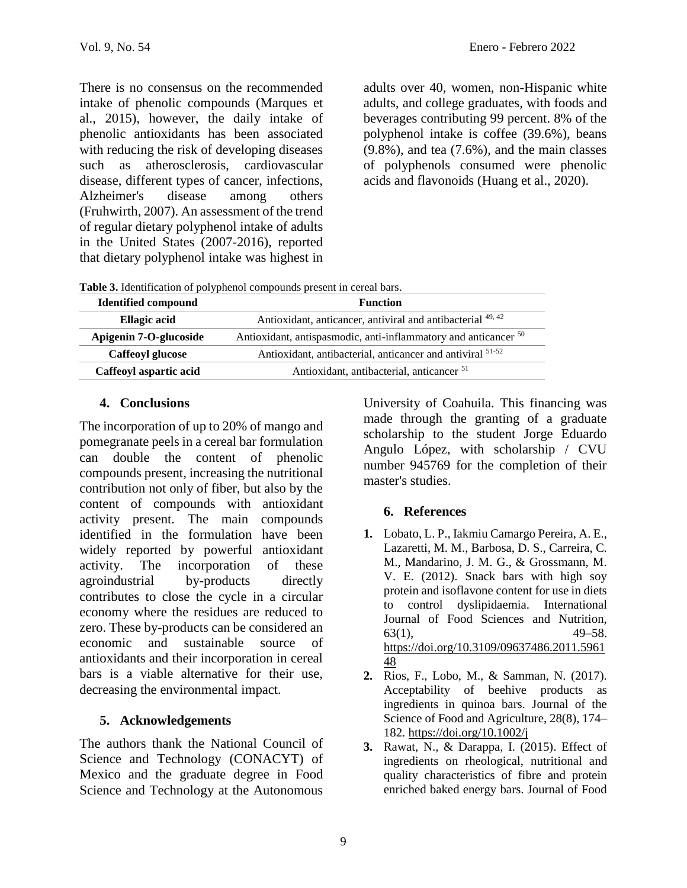There is no consensus on the recommended intake of phenolic compounds (Marques et al., 2015), however, the daily intake of phenolic antioxidants has been associated with reducing the risk of developing diseases such as atherosclerosis, cardiovascular disease, different types of cancer, infections, Alzheimer's disease among others (Fruhwirth, 2007). An assessment of the trend of regular dietary polyphenol intake of adults in the United States (2007-2016), reported that dietary polyphenol intake was highest in

adults over 40, women, non-Hispanic white adults, and college graduates, with foods and beverages contributing 99 percent. 8% of the polyphenol intake is coffee (39.6%), beans (9.8%), and tea (7.6%), and the main classes of polyphenols consumed were phenolic acids and flavonoids (Huang et al., 2020).

**Table 3.** Identification of polyphenol compounds present in cereal bars.

| <b>Identified compound</b> | <b>Function</b>                                                            |  |  |
|----------------------------|----------------------------------------------------------------------------|--|--|
| Ellagic acid               | Antioxidant, anticancer, antiviral and antibacterial 49, 42                |  |  |
| Apigenin 7-O-glucoside     | Antioxidant, antispasmodic, anti-inflammatory and anticancer <sup>50</sup> |  |  |
| <b>Caffeoyl glucose</b>    | Antioxidant, antibacterial, anticancer and antiviral <sup>51-52</sup>      |  |  |
| Caffeoyl aspartic acid     | Antioxidant, antibacterial, anticancer <sup>51</sup>                       |  |  |
|                            |                                                                            |  |  |

## **4. Conclusions**

The incorporation of up to 20% of mango and pomegranate peels in a cereal bar formulation can double the content of phenolic compounds present, increasing the nutritional contribution not only of fiber, but also by the content of compounds with antioxidant activity present. The main compounds identified in the formulation have been widely reported by powerful antioxidant activity. The incorporation of these agroindustrial by-products directly contributes to close the cycle in a circular economy where the residues are reduced to zero. These by-products can be considered an economic and sustainable source of antioxidants and their incorporation in cereal bars is a viable alternative for their use, decreasing the environmental impact.

## **5. Acknowledgements**

The authors thank the National Council of Science and Technology (CONACYT) of Mexico and the graduate degree in Food Science and Technology at the Autonomous

University of Coahuila. This financing was made through the granting of a graduate scholarship to the student Jorge Eduardo Angulo López, with scholarship / CVU number 945769 for the completion of their master's studies.

## **6. References**

- **1.** Lobato, L. P., Iakmiu Camargo Pereira, A. E., Lazaretti, M. M., Barbosa, D. S., Carreira, C. M., Mandarino, J. M. G., & Grossmann, M. V. E. (2012). Snack bars with high soy protein and isoflavone content for use in diets to control dyslipidaemia. International Journal of Food Sciences and Nutrition, 63(1), 49–58. [https://doi.org/10.3109/09637486.2011.5961](https://doi.org/10.3109/09637486.2011.596148) [48](https://doi.org/10.3109/09637486.2011.596148)
- **2.** Rios, F., Lobo, M., & Samman, N. (2017). Acceptability of beehive products as ingredients in quinoa bars. Journal of the Science of Food and Agriculture, 28(8), 174– 182.<https://doi.org/10.1002/j>
- **3.** Rawat, N., & Darappa, I. (2015). Effect of ingredients on rheological, nutritional and quality characteristics of fibre and protein enriched baked energy bars. Journal of Food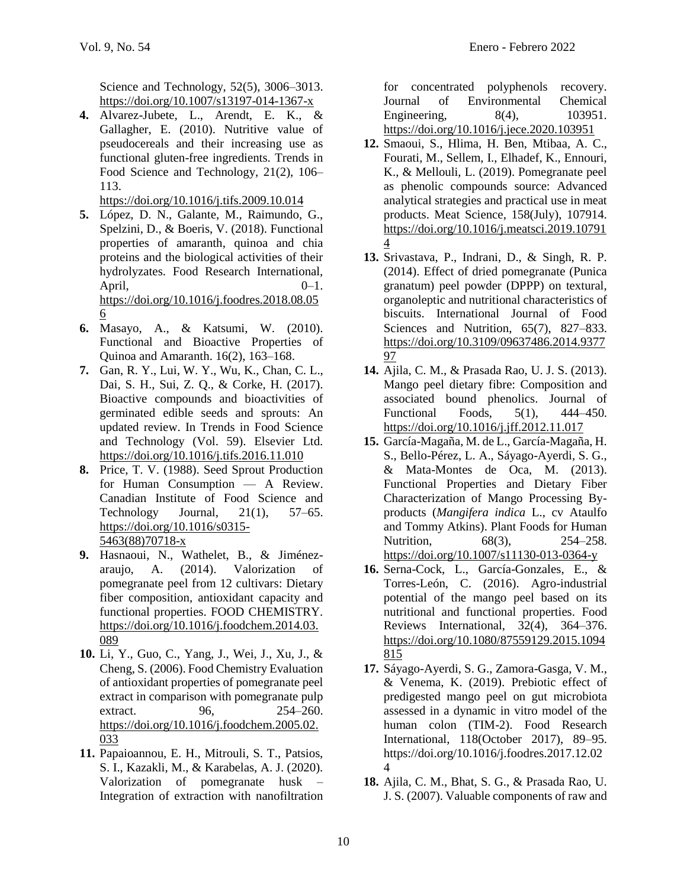Science and Technology, 52(5), 3006–3013. <https://doi.org/10.1007/s13197-014-1367-x>

**4.** Alvarez-Jubete, L., Arendt, E. K., & Gallagher, E. (2010). Nutritive value of pseudocereals and their increasing use as functional gluten-free ingredients. Trends in Food Science and Technology, 21(2), 106– 113.

<https://doi.org/10.1016/j.tifs.2009.10.014>

- **5.** López, D. N., Galante, M., Raimundo, G., Spelzini, D., & Boeris, V. (2018). Functional properties of amaranth, quinoa and chia proteins and the biological activities of their hydrolyzates. Food Research International, April, 0–1. [https://doi.org/10.1016/j.foodres.2018.08.05](https://doi.org/10.1016/j.foodres.2018.08.056) [6](https://doi.org/10.1016/j.foodres.2018.08.056)
- **6.** Masayo, A., & Katsumi, W. (2010). Functional and Bioactive Properties of Quinoa and Amaranth. 16(2), 163–168.
- **7.** Gan, R. Y., Lui, W. Y., Wu, K., Chan, C. L., Dai, S. H., Sui, Z. Q., & Corke, H. (2017). Bioactive compounds and bioactivities of germinated edible seeds and sprouts: An updated review. In Trends in Food Science and Technology (Vol. 59). Elsevier Ltd. <https://doi.org/10.1016/j.tifs.2016.11.010>
- **8.** Price, T. V. (1988). Seed Sprout Production for Human Consumption — A Review. Canadian Institute of Food Science and Technology Journal,  $21(1)$ ,  $57-65$ . [https://doi.org/10.1016/s0315-](https://doi.org/10.1016/s0315-5463(88)70718-x) [5463\(88\)70718-x](https://doi.org/10.1016/s0315-5463(88)70718-x)
- **9.** Hasnaoui, N., Wathelet, B., & Jiménezaraujo, A. (2014). Valorization of pomegranate peel from 12 cultivars: Dietary fiber composition, antioxidant capacity and functional properties. FOOD CHEMISTRY. [https://doi.org/10.1016/j.foodchem.2014.03.](https://doi.org/10.1016/j.foodchem.2014.03.089) [089](https://doi.org/10.1016/j.foodchem.2014.03.089)
- **10.** Li, Y., Guo, C., Yang, J., Wei, J., Xu, J., & Cheng, S. (2006). Food Chemistry Evaluation of antioxidant properties of pomegranate peel extract in comparison with pomegranate pulp extract. 96, 254–260. [https://doi.org/10.1016/j.foodchem.2005.02.](https://doi.org/10.1016/j.foodchem.2005.02.033) [033](https://doi.org/10.1016/j.foodchem.2005.02.033)
- **11.** Papaioannou, E. H., Mitrouli, S. T., Patsios, S. I., Kazakli, M., & Karabelas, A. J. (2020). Valorization of pomegranate husk – Integration of extraction with nanofiltration

for concentrated polyphenols recovery. Journal of Environmental Chemical Engineering, 8(4), 103951. <https://doi.org/10.1016/j.jece.2020.103951>

- **12.** Smaoui, S., Hlima, H. Ben, Mtibaa, A. C., Fourati, M., Sellem, I., Elhadef, K., Ennouri, K., & Mellouli, L. (2019). Pomegranate peel as phenolic compounds source: Advanced analytical strategies and practical use in meat products. Meat Science, 158(July), 107914. [https://doi.org/10.1016/j.meatsci.2019.10791](https://doi.org/10.1016/j.meatsci.2019.107914) [4](https://doi.org/10.1016/j.meatsci.2019.107914)
- **13.** Srivastava, P., Indrani, D., & Singh, R. P. (2014). Effect of dried pomegranate (Punica granatum) peel powder (DPPP) on textural, organoleptic and nutritional characteristics of biscuits. International Journal of Food Sciences and Nutrition, 65(7), 827–833. [https://doi.org/10.3109/09637486.2014.9377](https://doi.org/10.3109/09637486.2014.937797) [97](https://doi.org/10.3109/09637486.2014.937797)
- **14.** Ajila, C. M., & Prasada Rao, U. J. S. (2013). Mango peel dietary fibre: Composition and associated bound phenolics. Journal of Functional Foods, 5(1), 444–450. <https://doi.org/10.1016/j.jff.2012.11.017>
- **15.** García-Magaña, M. de L., García-Magaña, H. S., Bello-Pérez, L. A., Sáyago-Ayerdi, S. G., & Mata-Montes de Oca, M. (2013). Functional Properties and Dietary Fiber Characterization of Mango Processing Byproducts (*Mangifera indica* L., cv Ataulfo and Tommy Atkins). Plant Foods for Human Nutrition, 68(3), 254–258. <https://doi.org/10.1007/s11130-013-0364-y>
- **16.** Serna-Cock, L., García-Gonzales, E., & Torres-León, C. (2016). Agro-industrial potential of the mango peel based on its nutritional and functional properties. Food Reviews International, 32(4), 364–376. [https://doi.org/10.1080/87559129.2015.1094](https://doi.org/10.1080/87559129.2015.1094815) [815](https://doi.org/10.1080/87559129.2015.1094815)
- **17.** Sáyago-Ayerdi, S. G., Zamora-Gasga, V. M., & Venema, K. (2019). Prebiotic effect of predigested mango peel on gut microbiota assessed in a dynamic in vitro model of the human colon (TIM-2). Food Research International, 118(October 2017), 89–95. https://doi.org/10.1016/j.foodres.2017.12.02 4
- **18.** Ajila, C. M., Bhat, S. G., & Prasada Rao, U. J. S. (2007). Valuable components of raw and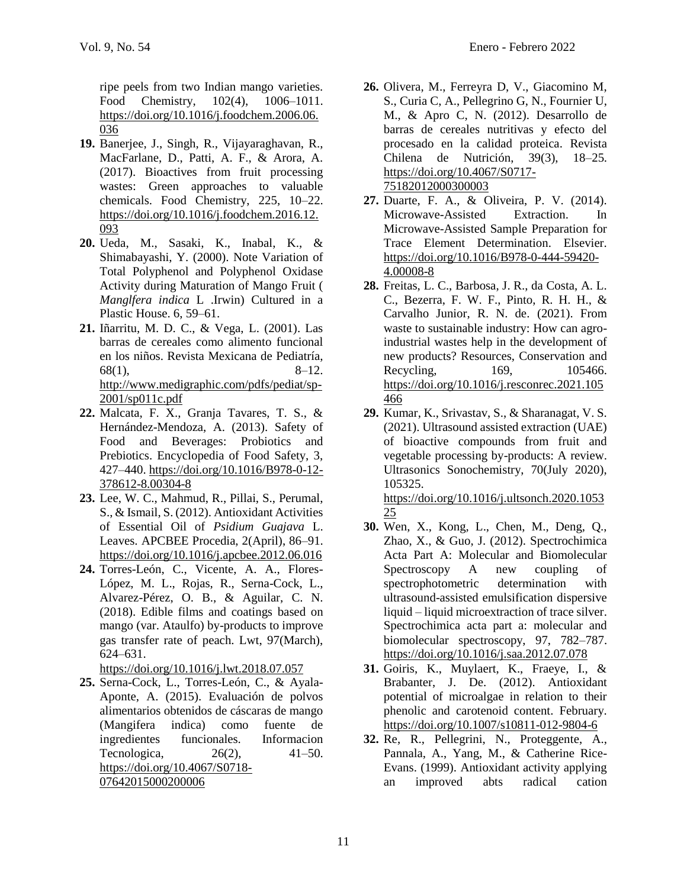ripe peels from two Indian mango varieties. Food Chemistry, 102(4), 1006–1011. [https://doi.org/10.1016/j.foodchem.2006.06.](https://doi.org/10.1016/j.foodchem.2006.06.036) [036](https://doi.org/10.1016/j.foodchem.2006.06.036)

- **19.** Banerjee, J., Singh, R., Vijayaraghavan, R., MacFarlane, D., Patti, A. F., & Arora, A. (2017). Bioactives from fruit processing wastes: Green approaches to valuable chemicals. Food Chemistry, 225, 10–22. [https://doi.org/10.1016/j.foodchem.2016.12.](https://doi.org/10.1016/j.foodchem.2016.12.093) [093](https://doi.org/10.1016/j.foodchem.2016.12.093)
- **20.** Ueda, M., Sasaki, K., Inabal, K., & Shimabayashi, Y. (2000). Note Variation of Total Polyphenol and Polyphenol Oxidase Activity during Maturation of Mango Fruit ( *Manglfera indica* L .Irwin) Cultured in a Plastic House. 6, 59–61.
- **21.** Iñarritu, M. D. C., & Vega, L. (2001). Las barras de cereales como alimento funcional en los niños. Revista Mexicana de Pediatría,  $68(1),$  8–12. [http://www.medigraphic.com/pdfs/pediat/sp-](http://www.medigraphic.com/pdfs/pediat/sp-2001/sp011c.pdf)[2001/sp011c.pdf](http://www.medigraphic.com/pdfs/pediat/sp-2001/sp011c.pdf)
- **22.** Malcata, F. X., Granja Tavares, T. S., & Hernández-Mendoza, A. (2013). Safety of Food and Beverages: Probiotics and Prebiotics. Encyclopedia of Food Safety, 3, 427–440. [https://doi.org/10.1016/B978-0-12-](https://doi.org/10.1016/B978-0-12-378612-8.00304-8) [378612-8.00304-8](https://doi.org/10.1016/B978-0-12-378612-8.00304-8)
- **23.** Lee, W. C., Mahmud, R., Pillai, S., Perumal, S., & Ismail, S. (2012). Antioxidant Activities of Essential Oil of *Psidium Guajava* L. Leaves. APCBEE Procedia, 2(April), 86–91. <https://doi.org/10.1016/j.apcbee.2012.06.016>
- **24.** Torres-León, C., Vicente, A. A., Flores-López, M. L., Rojas, R., Serna-Cock, L., Alvarez-Pérez, O. B., & Aguilar, C. N. (2018). Edible films and coatings based on mango (var. Ataulfo) by-products to improve gas transfer rate of peach. Lwt, 97(March), 624–631.

<https://doi.org/10.1016/j.lwt.2018.07.057>

**25.** Serna-Cock, L., Torres-León, C., & Ayala-Aponte, A. (2015). Evaluación de polvos alimentarios obtenidos de cáscaras de mango (Mangifera indica) como fuente de ingredientes funcionales. Informacion Tecnologica,  $26(2)$ ,  $41-50$ . [https://doi.org/10.4067/S0718-](https://doi.org/10.4067/S0718-07642015000200006) [07642015000200006](https://doi.org/10.4067/S0718-07642015000200006)

- **26.** Olivera, M., Ferreyra D, V., Giacomino M, S., Curia C, A., Pellegrino G, N., Fournier U, M., & Apro C, N. (2012). Desarrollo de barras de cereales nutritivas y efecto del procesado en la calidad proteica. Revista Chilena de Nutrición, 39(3), 18–25. [https://doi.org/10.4067/S0717-](https://doi.org/10.4067/S0717-75182012000300003) [75182012000300003](https://doi.org/10.4067/S0717-75182012000300003)
- **27.** Duarte, F. A., & Oliveira, P. V. (2014). Microwave-Assisted Extraction. In Microwave-Assisted Sample Preparation for Trace Element Determination. Elsevier. [https://doi.org/10.1016/B978-0-444-59420-](https://doi.org/10.1016/B978-0-444-59420-4.00008-8) [4.00008-8](https://doi.org/10.1016/B978-0-444-59420-4.00008-8)
- **28.** Freitas, L. C., Barbosa, J. R., da Costa, A. L. C., Bezerra, F. W. F., Pinto, R. H. H., & Carvalho Junior, R. N. de. (2021). From waste to sustainable industry: How can agroindustrial wastes help in the development of new products? Resources, Conservation and Recycling, 169, 105466. [https://doi.org/10.1016/j.resconrec.2021.105](https://doi.org/10.1016/j.resconrec.2021.105466) [466](https://doi.org/10.1016/j.resconrec.2021.105466)
- **29.** Kumar, K., Srivastav, S., & Sharanagat, V. S. (2021). Ultrasound assisted extraction (UAE) of bioactive compounds from fruit and vegetable processing by-products: A review. Ultrasonics Sonochemistry, 70(July 2020), 105325. [https://doi.org/10.1016/j.ultsonch.2020.1053](https://doi.org/10.1016/j.ultsonch.2020.105325)
- [25](https://doi.org/10.1016/j.ultsonch.2020.105325) **30.** Wen, X., Kong, L., Chen, M., Deng, Q., Zhao, X., & Guo, J. (2012). Spectrochimica Acta Part A: Molecular and Biomolecular Spectroscopy A new coupling of spectrophotometric determination with ultrasound-assisted emulsification dispersive liquid – liquid microextraction of trace silver. Spectrochimica acta part a: molecular and biomolecular spectroscopy, 97, 782–787. <https://doi.org/10.1016/j.saa.2012.07.078>
- **31.** Goiris, K., Muylaert, K., Fraeye, I., & Brabanter, J. De. (2012). Antioxidant potential of microalgae in relation to their phenolic and carotenoid content. February. <https://doi.org/10.1007/s10811-012-9804-6>
- **32.** Re, R., Pellegrini, N., Proteggente, A., Pannala, A., Yang, M., & Catherine Rice-Evans. (1999). Antioxidant activity applying an improved abts radical cation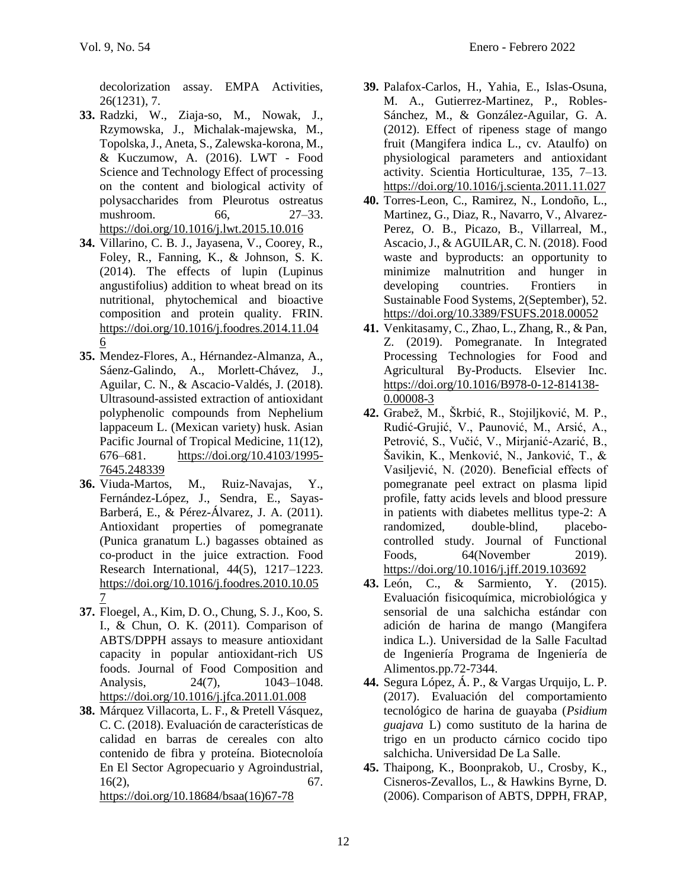decolorization assay. EMPA Activities, 26(1231), 7.

- **33.** Radzki, W., Ziaja-so, M., Nowak, J., Rzymowska, J., Michalak-majewska, M., Topolska, J., Aneta, S., Zalewska-korona, M., & Kuczumow, A. (2016). LWT - Food Science and Technology Effect of processing on the content and biological activity of polysaccharides from Pleurotus ostreatus mushroom. 66, 27–33. <https://doi.org/10.1016/j.lwt.2015.10.016>
- **34.** Villarino, C. B. J., Jayasena, V., Coorey, R., Foley, R., Fanning, K., & Johnson, S. K. (2014). The effects of lupin (Lupinus angustifolius) addition to wheat bread on its nutritional, phytochemical and bioactive composition and protein quality. FRIN. [https://doi.org/10.1016/j.foodres.2014.11.04](https://doi.org/10.1016/j.foodres.2014.11.046) [6](https://doi.org/10.1016/j.foodres.2014.11.046)
- **35.** Mendez-Flores, A., Hérnandez-Almanza, A., Sáenz-Galindo, A., Morlett-Chávez, J., Aguilar, C. N., & Ascacio-Valdés, J. (2018). Ultrasound-assisted extraction of antioxidant polyphenolic compounds from Nephelium lappaceum L. (Mexican variety) husk. Asian Pacific Journal of Tropical Medicine, 11(12), 676–681. [https://doi.org/10.4103/1995-](https://doi.org/10.4103/1995-7645.248339) [7645.248339](https://doi.org/10.4103/1995-7645.248339)
- **36.** Viuda-Martos, M., Ruiz-Navajas, Y., Fernández-López, J., Sendra, E., Sayas-Barberá, E., & Pérez-Álvarez, J. A. (2011). Antioxidant properties of pomegranate (Punica granatum L.) bagasses obtained as co-product in the juice extraction. Food Research International, 44(5), 1217–1223. [https://doi.org/10.1016/j.foodres.2010.10.05](https://doi.org/10.1016/j.foodres.2010.10.057) [7](https://doi.org/10.1016/j.foodres.2010.10.057)
- **37.** Floegel, A., Kim, D. O., Chung, S. J., Koo, S. I., & Chun, O. K. (2011). Comparison of ABTS/DPPH assays to measure antioxidant capacity in popular antioxidant-rich US foods. Journal of Food Composition and Analysis, 24(7), 1043–1048. <https://doi.org/10.1016/j.jfca.2011.01.008>
- **38.** Márquez Villacorta, L. F., & Pretell Vásquez, C. C. (2018). Evaluación de características de calidad en barras de cereales con alto contenido de fibra y proteína. Biotecnoloía En El Sector Agropecuario y Agroindustrial,  $16(2)$ , 67.

[https://doi.org/10.18684/bsaa\(16\)67-78](https://doi.org/10.18684/bsaa(16)67-78)

- **39.** Palafox-Carlos, H., Yahia, E., Islas-Osuna, M. A., Gutierrez-Martinez, P., Robles-Sánchez, M., & González-Aguilar, G. A. (2012). Effect of ripeness stage of mango fruit (Mangifera indica L., cv. Ataulfo) on physiological parameters and antioxidant activity. Scientia Horticulturae, 135, 7–13. <https://doi.org/10.1016/j.scienta.2011.11.027>
- **40.** Torres-Leon, C., Ramirez, N., Londoño, L., Martinez, G., Diaz, R., Navarro, V., Alvarez-Perez, O. B., Picazo, B., Villarreal, M., Ascacio, J., & AGUILAR, C. N. (2018). Food waste and byproducts: an opportunity to minimize malnutrition and hunger in developing countries. Frontiers in Sustainable Food Systems, 2(September), 52. <https://doi.org/10.3389/FSUFS.2018.00052>
- **41.** Venkitasamy, C., Zhao, L., Zhang, R., & Pan, Z. (2019). Pomegranate. In Integrated Processing Technologies for Food and Agricultural By-Products. Elsevier Inc. [https://doi.org/10.1016/B978-0-12-814138-](https://doi.org/10.1016/B978-0-12-814138-0.00008-3) [0.00008-3](https://doi.org/10.1016/B978-0-12-814138-0.00008-3)
- **42.** Grabež, M., Škrbić, R., Stojiljković, M. P., Rudić-Grujić, V., Paunović, M., Arsić, A., Petrović, S., Vučić, V., Mirjanić-Azarić, B., Šavikin, K., Menković, N., Janković, T., & Vasiljević, N. (2020). Beneficial effects of pomegranate peel extract on plasma lipid profile, fatty acids levels and blood pressure in patients with diabetes mellitus type-2: A randomized, double-blind, placebocontrolled study. Journal of Functional Foods, 64(November 2019). <https://doi.org/10.1016/j.jff.2019.103692>
- **43.** León, C., & Sarmiento, Y. (2015). Evaluación fisicoquímica, microbiológica y sensorial de una salchicha estándar con adición de harina de mango (Mangifera indica L.). Universidad de la Salle Facultad de Ingeniería Programa de Ingeniería de Alimentos.pp.72-7344.
- **44.** Segura López, Á. P., & Vargas Urquijo, L. P. (2017). Evaluación del comportamiento tecnológico de harina de guayaba (*Psidium guajava* L) como sustituto de la harina de trigo en un producto cárnico cocido tipo salchicha. Universidad De La Salle.
- **45.** Thaipong, K., Boonprakob, U., Crosby, K., Cisneros-Zevallos, L., & Hawkins Byrne, D. (2006). Comparison of ABTS, DPPH, FRAP,